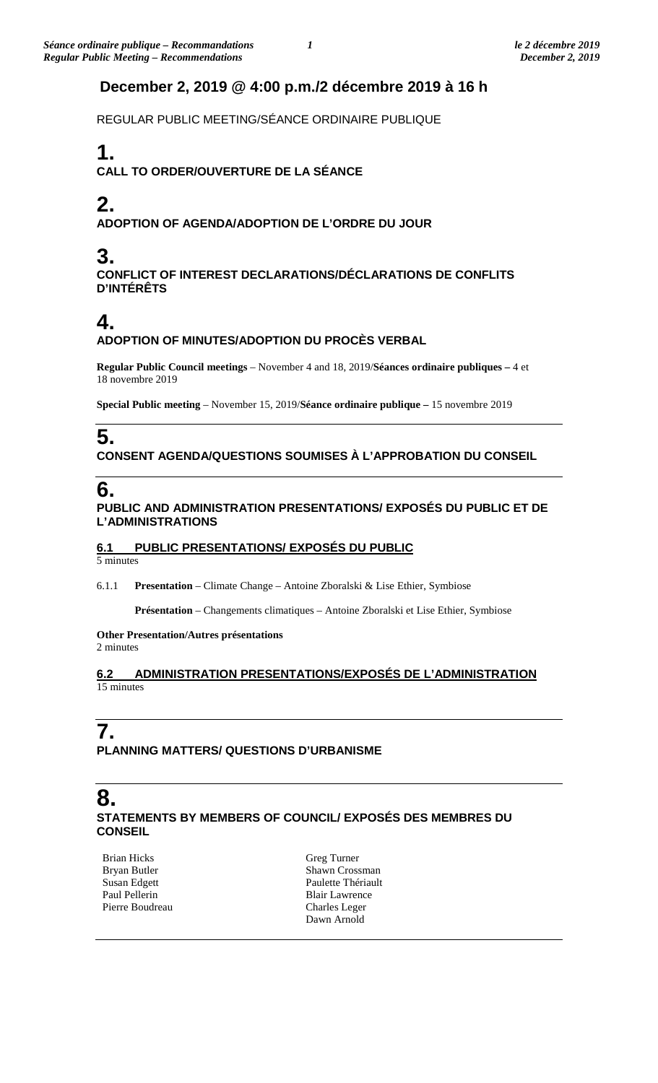## **December 2, 2019 @ 4:00 p.m./2 décembre 2019 à 16 h**

REGULAR PUBLIC MEETING/SÉANCE ORDINAIRE PUBLIQUE

# **1.**

**CALL TO ORDER/OUVERTURE DE LA SÉANCE**

# **2.**

**ADOPTION OF AGENDA/ADOPTION DE L'ORDRE DU JOUR**

# **3.**

**CONFLICT OF INTEREST DECLARATIONS/DÉCLARATIONS DE CONFLITS D'INTÉRÊTS**

# **4.**

#### **ADOPTION OF MINUTES/ADOPTION DU PROCÈS VERBAL**

**Regular Public Council meetings** – November 4 and 18, 2019/**Séances ordinaire publiques –** 4 et 18 novembre 2019

**Special Public meeting** – November 15, 2019/**Séance ordinaire publique –** 15 novembre 2019

# **5.**

### **CONSENT AGENDA/QUESTIONS SOUMISES À L'APPROBATION DU CONSEIL**

# **6.**

### **PUBLIC AND ADMINISTRATION PRESENTATIONS/ EXPOSÉS DU PUBLIC ET DE L'ADMINISTRATIONS**

### **6.1 PUBLIC PRESENTATIONS/ EXPOSÉS DU PUBLIC**

5 minutes

6.1.1 **Presentation** – Climate Change – Antoine Zboralski & Lise Ethier, Symbiose

**Présentation** – Changements climatiques – Antoine Zboralski et Lise Ethier, Symbiose

#### **Other Presentation/Autres présentations**  2 minutes

### **6.2 ADMINISTRATION PRESENTATIONS/EXPOSÉS DE L'ADMINISTRATION**  15 minutes

## **7. PLANNING MATTERS/ QUESTIONS D'URBANISME**

### **8. STATEMENTS BY MEMBERS OF COUNCIL/ EXPOSÉS DES MEMBRES DU CONSEIL**

Brian Hicks Bryan Butler Susan Edgett Paul Pellerin Pierre Boudreau Greg Turner Shawn Crossman Paulette Thériault Blair Lawrence Charles Leger Dawn Arnold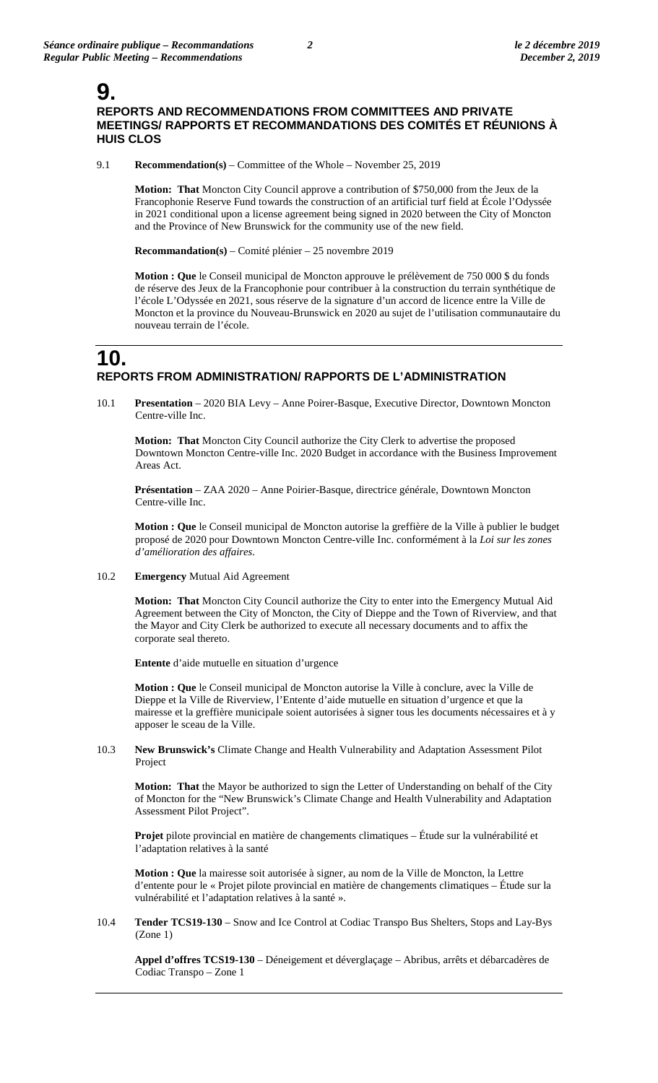### **9. REPORTS AND RECOMMENDATIONS FROM COMMITTEES AND PRIVATE MEETINGS/ RAPPORTS ET RECOMMANDATIONS DES COMITÉS ET RÉUNIONS À HUIS CLOS**

9.1 **Recommendation(s)** – Committee of the Whole – November 25, 2019

**Motion: That** Moncton City Council approve a contribution of \$750,000 from the Jeux de la Francophonie Reserve Fund towards the construction of an artificial turf field at École l'Odyssée in 2021 conditional upon a license agreement being signed in 2020 between the City of Moncton and the Province of New Brunswick for the community use of the new field.

**Recommandation(s)** – Comité plénier – 25 novembre 2019

**Motion : Que** le Conseil municipal de Moncton approuve le prélèvement de 750 000 \$ du fonds de réserve des Jeux de la Francophonie pour contribuer à la construction du terrain synthétique de l'école L'Odyssée en 2021, sous réserve de la signature d'un accord de licence entre la Ville de Moncton et la province du Nouveau-Brunswick en 2020 au sujet de l'utilisation communautaire du nouveau terrain de l'école.

## **10. REPORTS FROM ADMINISTRATION/ RAPPORTS DE L'ADMINISTRATION**

10.1 **Presentation** – 2020 BIA Levy – Anne Poirer-Basque, Executive Director, Downtown Moncton Centre-ville Inc.

**Motion: That** Moncton City Council authorize the City Clerk to advertise the proposed Downtown Moncton Centre-ville Inc. 2020 Budget in accordance with the Business Improvement Areas Act.

**Présentation** – ZAA 2020 – Anne Poirier-Basque, directrice générale, Downtown Moncton Centre-ville Inc.

**Motion : Que** le Conseil municipal de Moncton autorise la greffière de la Ville à publier le budget proposé de 2020 pour Downtown Moncton Centre-ville Inc. conformément à la *Loi sur les zones d'amélioration des affaires*.

10.2 **Emergency** Mutual Aid Agreement

**Motion: That** Moncton City Council authorize the City to enter into the Emergency Mutual Aid Agreement between the City of Moncton, the City of Dieppe and the Town of Riverview, and that the Mayor and City Clerk be authorized to execute all necessary documents and to affix the corporate seal thereto.

**Entente** d'aide mutuelle en situation d'urgence

**Motion : Que** le Conseil municipal de Moncton autorise la Ville à conclure, avec la Ville de Dieppe et la Ville de Riverview, l'Entente d'aide mutuelle en situation d'urgence et que la mairesse et la greffière municipale soient autorisées à signer tous les documents nécessaires et à y apposer le sceau de la Ville.

10.3 **New Brunswick's** Climate Change and Health Vulnerability and Adaptation Assessment Pilot Project

**Motion: That** the Mayor be authorized to sign the Letter of Understanding on behalf of the City of Moncton for the "New Brunswick's Climate Change and Health Vulnerability and Adaptation Assessment Pilot Project".

**Projet** pilote provincial en matière de changements climatiques – Étude sur la vulnérabilité et l'adaptation relatives à la santé

**Motion : Que** la mairesse soit autorisée à signer, au nom de la Ville de Moncton, la Lettre d'entente pour le « Projet pilote provincial en matière de changements climatiques – Étude sur la vulnérabilité et l'adaptation relatives à la santé ».

10.4 **Tender TCS19-130** – Snow and Ice Control at Codiac Transpo Bus Shelters, Stops and Lay-Bys (Zone 1)

**Appel d'offres TCS19-130** – Déneigement et déverglaçage – Abribus, arrêts et débarcadères de Codiac Transpo – Zone 1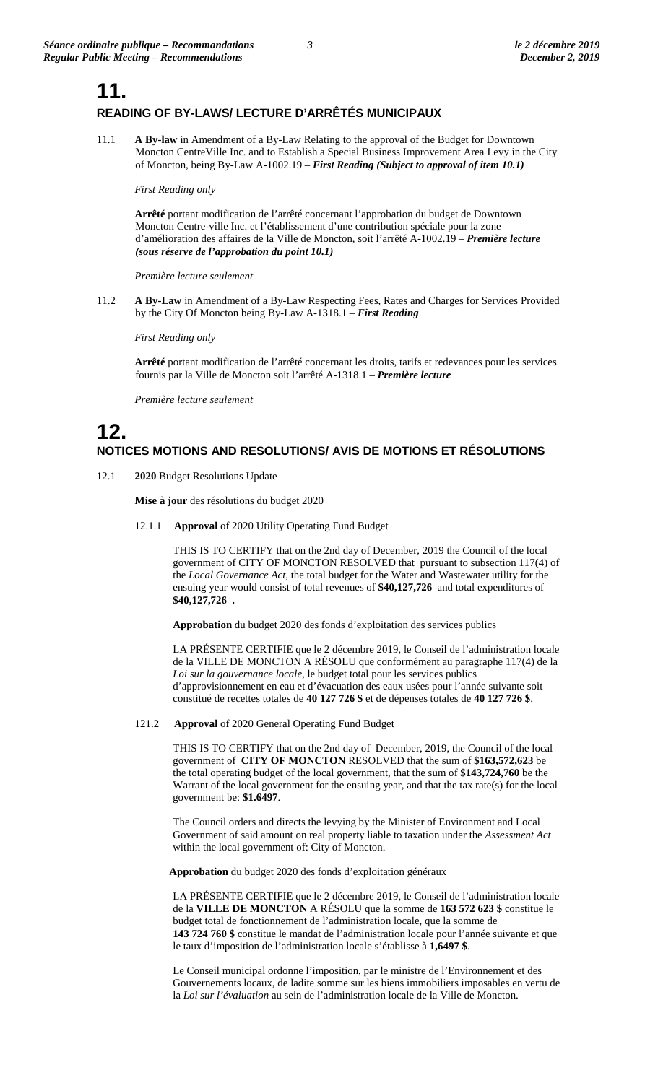## **11. READING OF BY-LAWS/ LECTURE D'ARRÊTÉS MUNICIPAUX**

11.1 **A By-law** in Amendment of a By-Law Relating to the approval of the Budget for Downtown Moncton CentreVille Inc. and to Establish a Special Business Improvement Area Levy in the City of Moncton, being By-Law A-1002.19 – *First Reading (Subject to approval of item 10.1)*

*First Reading only*

**Arrêté** portant modification de l'arrêté concernant l'approbation du budget de Downtown Moncton Centre-ville Inc. et l'établissement d'une contribution spéciale pour la zone d'amélioration des affaires de la Ville de Moncton, soit l'arrêté A-1002.19 – *Première lecture (sous réserve de l'approbation du point 10.1)*

*Première lecture seulement*

11.2 **A By-Law** in Amendment of a By-Law Respecting Fees, Rates and Charges for Services Provided by the City Of Moncton being By-Law A-1318.1 – *First Reading*

*First Reading only*

**Arrêté** portant modification de l'arrêté concernant les droits, tarifs et redevances pour les services fournis par la Ville de Moncton soit l'arrêté A-1318.1 – *Première lecture*

*Première lecture seulement*

# **12. NOTICES MOTIONS AND RESOLUTIONS/ AVIS DE MOTIONS ET RÉSOLUTIONS**

12.1 **2020** Budget Resolutions Update

**Mise à jour** des résolutions du budget 2020

12.1.1 **Approval** of 2020 Utility Operating Fund Budget

THIS IS TO CERTIFY that on the 2nd day of December, 2019 the Council of the local government of CITY OF MONCTON RESOLVED that pursuant to subsection 117(4) of the *Local Governance Act*, the total budget for the Water and Wastewater utility for the ensuing year would consist of total revenues of **\$40,127,726** and total expenditures of **\$40,127,726 .**

**Approbation** du budget 2020 des fonds d'exploitation des services publics

LA PRÉSENTE CERTIFIE que le 2 décembre 2019, le Conseil de l'administration locale de la VILLE DE MONCTON A RÉSOLU que conformément au paragraphe 117(4) de la *Loi sur la gouvernance locale*, le budget total pour les services publics d'approvisionnement en eau et d'évacuation des eaux usées pour l'année suivante soit constitué de recettes totales de **40 127 726 \$** et de dépenses totales de **40 127 726 \$**.

121.2 **Approval** of 2020 General Operating Fund Budget

THIS IS TO CERTIFY that on the 2nd day of December, 2019, the Council of the local government of **CITY OF MONCTON** RESOLVED that the sum of **\$163,572,623** be the total operating budget of the local government, that the sum of \$**143,724,760** be the Warrant of the local government for the ensuing year, and that the tax rate(s) for the local government be: **\$1.6497**.

The Council orders and directs the levying by the Minister of Environment and Local Government of said amount on real property liable to taxation under the *Assessment Act* within the local government of: City of Moncton.

**Approbation** du budget 2020 des fonds d'exploitation généraux

LA PRÉSENTE CERTIFIE que le 2 décembre 2019, le Conseil de l'administration locale de la **VILLE DE MONCTON** A RÉSOLU que la somme de **163 572 623 \$** constitue le budget total de fonctionnement de l'administration locale, que la somme de **143 724 760 \$** constitue le mandat de l'administration locale pour l'année suivante et que le taux d'imposition de l'administration locale s'établisse à **1,6497 \$**.

Le Conseil municipal ordonne l'imposition, par le ministre de l'Environnement et des Gouvernements locaux, de ladite somme sur les biens immobiliers imposables en vertu de la *Loi sur l'évaluation* au sein de l'administration locale de la Ville de Moncton.